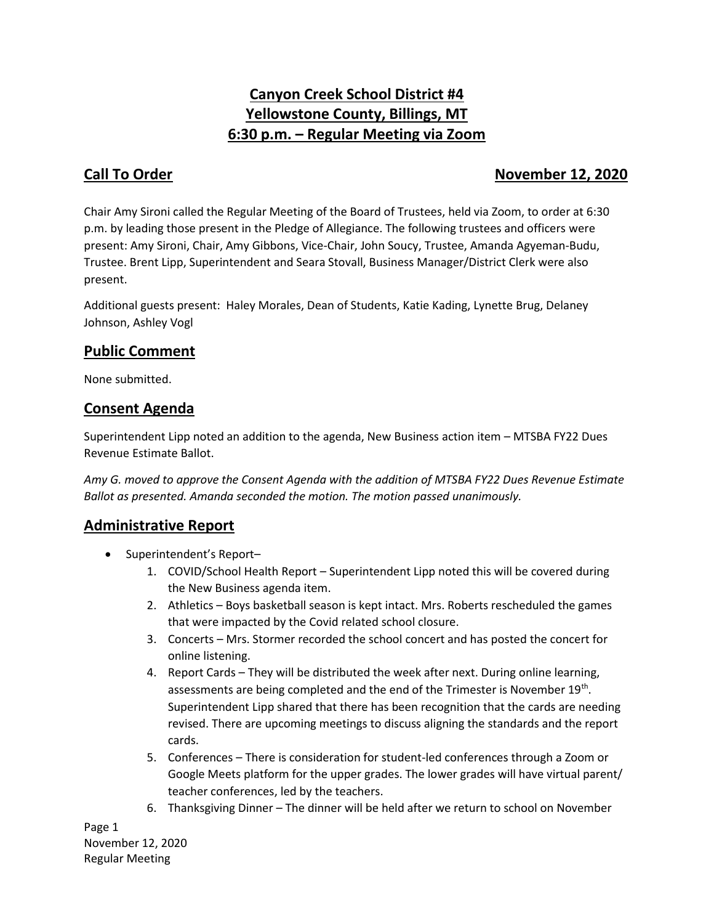# **Canyon Creek School District #4 Yellowstone County, Billings, MT 6:30 p.m. – Regular Meeting via Zoom**

## **Call To Order November 12, 2020**

Chair Amy Sironi called the Regular Meeting of the Board of Trustees, held via Zoom, to order at 6:30 p.m. by leading those present in the Pledge of Allegiance. The following trustees and officers were present: Amy Sironi, Chair, Amy Gibbons, Vice-Chair, John Soucy, Trustee, Amanda Agyeman-Budu, Trustee. Brent Lipp, Superintendent and Seara Stovall, Business Manager/District Clerk were also present.

Additional guests present: Haley Morales, Dean of Students, Katie Kading, Lynette Brug, Delaney Johnson, Ashley Vogl

# **Public Comment**

None submitted.

# **Consent Agenda**

Superintendent Lipp noted an addition to the agenda, New Business action item – MTSBA FY22 Dues Revenue Estimate Ballot.

*Amy G. moved to approve the Consent Agenda with the addition of MTSBA FY22 Dues Revenue Estimate Ballot as presented. Amanda seconded the motion. The motion passed unanimously.* 

# **Administrative Report**

- Superintendent's Report-
	- 1. COVID/School Health Report Superintendent Lipp noted this will be covered during the New Business agenda item.
	- 2. Athletics Boys basketball season is kept intact. Mrs. Roberts rescheduled the games that were impacted by the Covid related school closure.
	- 3. Concerts Mrs. Stormer recorded the school concert and has posted the concert for online listening.
	- 4. Report Cards They will be distributed the week after next. During online learning, assessments are being completed and the end of the Trimester is November 19<sup>th</sup>. Superintendent Lipp shared that there has been recognition that the cards are needing revised. There are upcoming meetings to discuss aligning the standards and the report cards.
	- 5. Conferences There is consideration for student-led conferences through a Zoom or Google Meets platform for the upper grades. The lower grades will have virtual parent/ teacher conferences, led by the teachers.
	- 6. Thanksgiving Dinner The dinner will be held after we return to school on November

Page 1 November 12, 2020 Regular Meeting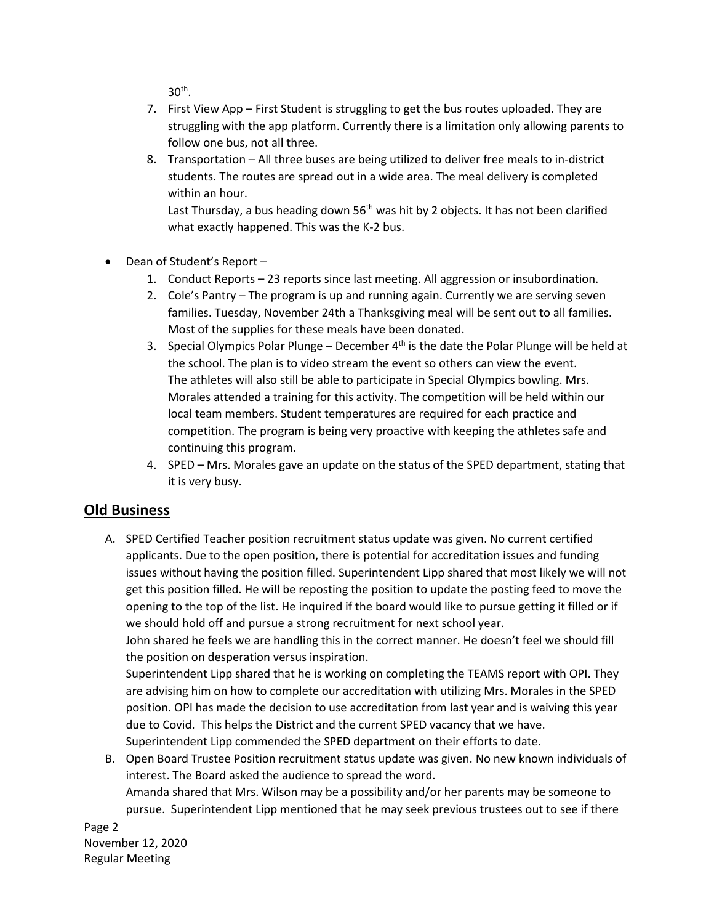$30<sup>th</sup>$ .

- 7. First View App First Student is struggling to get the bus routes uploaded. They are struggling with the app platform. Currently there is a limitation only allowing parents to follow one bus, not all three.
- 8. Transportation All three buses are being utilized to deliver free meals to in-district students. The routes are spread out in a wide area. The meal delivery is completed within an hour.

Last Thursday, a bus heading down  $56<sup>th</sup>$  was hit by 2 objects. It has not been clarified what exactly happened. This was the K-2 bus.

- Dean of Student's Report
	- 1. Conduct Reports 23 reports since last meeting. All aggression or insubordination.
	- 2. Cole's Pantry The program is up and running again. Currently we are serving seven families. Tuesday, November 24th a Thanksgiving meal will be sent out to all families. Most of the supplies for these meals have been donated.
	- 3. Special Olympics Polar Plunge December  $4<sup>th</sup>$  is the date the Polar Plunge will be held at the school. The plan is to video stream the event so others can view the event. The athletes will also still be able to participate in Special Olympics bowling. Mrs. Morales attended a training for this activity. The competition will be held within our local team members. Student temperatures are required for each practice and competition. The program is being very proactive with keeping the athletes safe and continuing this program.
	- 4. SPED Mrs. Morales gave an update on the status of the SPED department, stating that it is very busy.

### **Old Business**

A. SPED Certified Teacher position recruitment status update was given. No current certified applicants. Due to the open position, there is potential for accreditation issues and funding issues without having the position filled. Superintendent Lipp shared that most likely we will not get this position filled. He will be reposting the position to update the posting feed to move the opening to the top of the list. He inquired if the board would like to pursue getting it filled or if we should hold off and pursue a strong recruitment for next school year.

John shared he feels we are handling this in the correct manner. He doesn't feel we should fill the position on desperation versus inspiration.

Superintendent Lipp shared that he is working on completing the TEAMS report with OPI. They are advising him on how to complete our accreditation with utilizing Mrs. Morales in the SPED position. OPI has made the decision to use accreditation from last year and is waiving this year due to Covid. This helps the District and the current SPED vacancy that we have. Superintendent Lipp commended the SPED department on their efforts to date.

B. Open Board Trustee Position recruitment status update was given. No new known individuals of interest. The Board asked the audience to spread the word. Amanda shared that Mrs. Wilson may be a possibility and/or her parents may be someone to pursue. Superintendent Lipp mentioned that he may seek previous trustees out to see if there

Page 2 November 12, 2020 Regular Meeting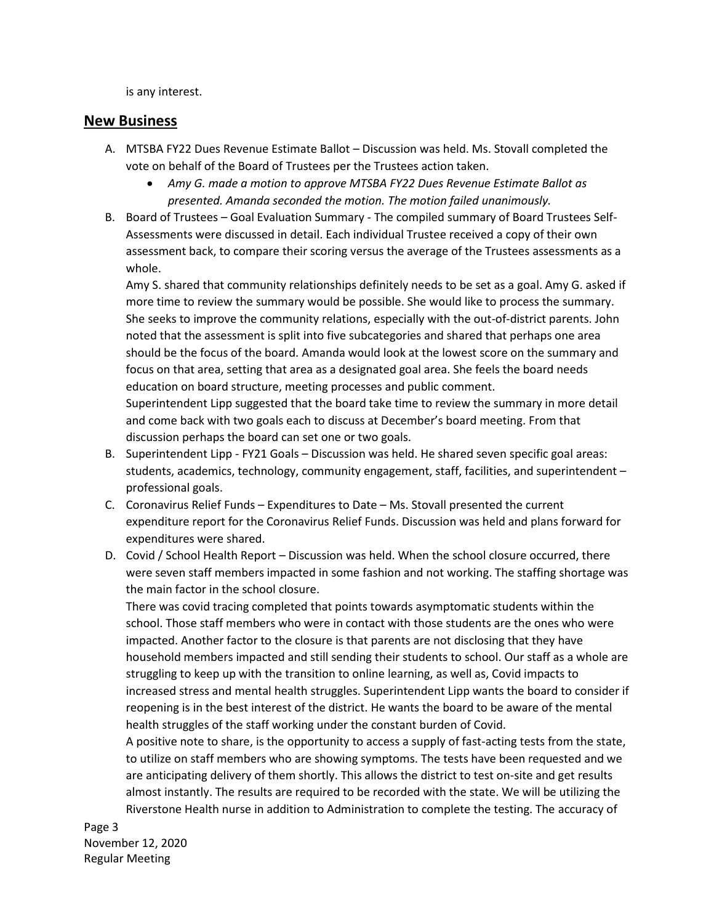is any interest.

#### **New Business**

- A. MTSBA FY22 Dues Revenue Estimate Ballot Discussion was held. Ms. Stovall completed the vote on behalf of the Board of Trustees per the Trustees action taken.
	- *Amy G. made a motion to approve MTSBA FY22 Dues Revenue Estimate Ballot as presented. Amanda seconded the motion. The motion failed unanimously.*
- B. Board of Trustees Goal Evaluation Summary The compiled summary of Board Trustees Self-Assessments were discussed in detail. Each individual Trustee received a copy of their own assessment back, to compare their scoring versus the average of the Trustees assessments as a whole.

Amy S. shared that community relationships definitely needs to be set as a goal. Amy G. asked if more time to review the summary would be possible. She would like to process the summary. She seeks to improve the community relations, especially with the out-of-district parents. John noted that the assessment is split into five subcategories and shared that perhaps one area should be the focus of the board. Amanda would look at the lowest score on the summary and focus on that area, setting that area as a designated goal area. She feels the board needs education on board structure, meeting processes and public comment. Superintendent Lipp suggested that the board take time to review the summary in more detail

and come back with two goals each to discuss at December's board meeting. From that discussion perhaps the board can set one or two goals.

- B. Superintendent Lipp FY21 Goals Discussion was held. He shared seven specific goal areas: students, academics, technology, community engagement, staff, facilities, and superintendent – professional goals.
- C. Coronavirus Relief Funds Expenditures to Date Ms. Stovall presented the current expenditure report for the Coronavirus Relief Funds. Discussion was held and plans forward for expenditures were shared.
- D. Covid / School Health Report Discussion was held. When the school closure occurred, there were seven staff members impacted in some fashion and not working. The staffing shortage was the main factor in the school closure.

There was covid tracing completed that points towards asymptomatic students within the school. Those staff members who were in contact with those students are the ones who were impacted. Another factor to the closure is that parents are not disclosing that they have household members impacted and still sending their students to school. Our staff as a whole are struggling to keep up with the transition to online learning, as well as, Covid impacts to increased stress and mental health struggles. Superintendent Lipp wants the board to consider if reopening is in the best interest of the district. He wants the board to be aware of the mental health struggles of the staff working under the constant burden of Covid.

A positive note to share, is the opportunity to access a supply of fast-acting tests from the state, to utilize on staff members who are showing symptoms. The tests have been requested and we are anticipating delivery of them shortly. This allows the district to test on-site and get results almost instantly. The results are required to be recorded with the state. We will be utilizing the Riverstone Health nurse in addition to Administration to complete the testing. The accuracy of

Page 3 November 12, 2020 Regular Meeting